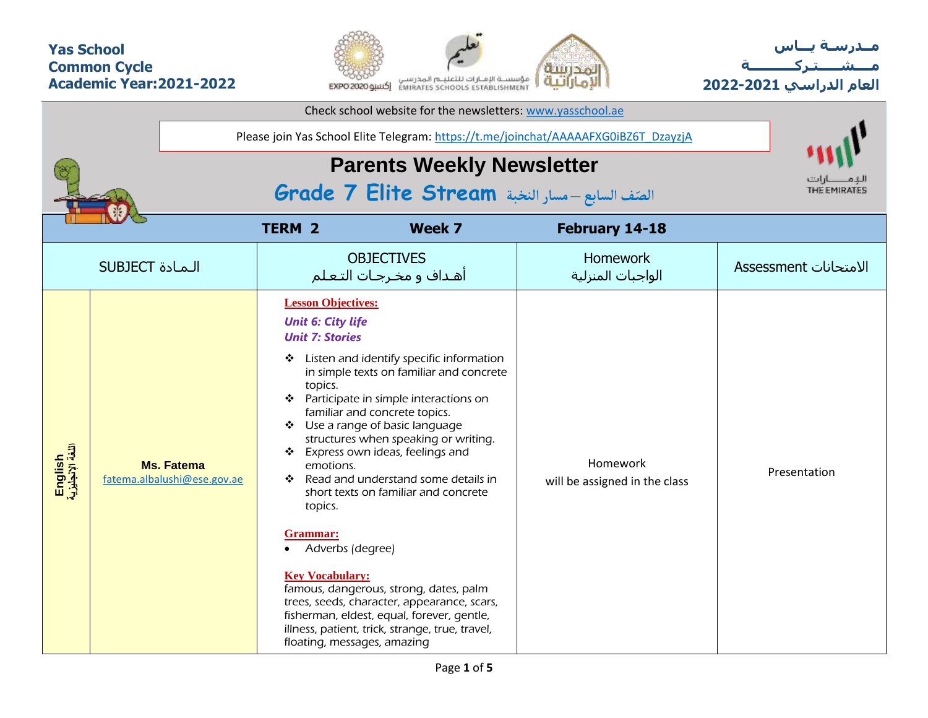## **Yas School Common Cycle Academic Year:2021-2022**



**مــدرسـة يـــاس مــــشـ ـــ ـتـ ركـ ــــــــــ ة العام الدراسي -2021 2022**

| Check school website for the newsletters: www.yasschool.ae |                                                                                     |                                                                                                                                                                                                                            |                                                                                                                                                                                                                                                                                                                                                                                                                                                                                                                                                         |                                           |                       |  |  |  |  |  |  |  |
|------------------------------------------------------------|-------------------------------------------------------------------------------------|----------------------------------------------------------------------------------------------------------------------------------------------------------------------------------------------------------------------------|---------------------------------------------------------------------------------------------------------------------------------------------------------------------------------------------------------------------------------------------------------------------------------------------------------------------------------------------------------------------------------------------------------------------------------------------------------------------------------------------------------------------------------------------------------|-------------------------------------------|-----------------------|--|--|--|--|--|--|--|
|                                                            | Please join Yas School Elite Telegram: https://t.me/joinchat/AAAAAFXG0iBZ6T_DzayzjA |                                                                                                                                                                                                                            |                                                                                                                                                                                                                                                                                                                                                                                                                                                                                                                                                         |                                           |                       |  |  |  |  |  |  |  |
|                                                            |                                                                                     | <b>Parents Weekly Newsletter</b>                                                                                                                                                                                           |                                                                                                                                                                                                                                                                                                                                                                                                                                                                                                                                                         |                                           |                       |  |  |  |  |  |  |  |
| الصنّف السابع - مسار النخبة Grade 7 Elite Stream           |                                                                                     |                                                                                                                                                                                                                            |                                                                                                                                                                                                                                                                                                                                                                                                                                                                                                                                                         |                                           |                       |  |  |  |  |  |  |  |
| <b>TERM 2</b><br>Week 7<br>February 14-18                  |                                                                                     |                                                                                                                                                                                                                            |                                                                                                                                                                                                                                                                                                                                                                                                                                                                                                                                                         |                                           |                       |  |  |  |  |  |  |  |
|                                                            | <b>SUBJECT</b> الـمـادة                                                             |                                                                                                                                                                                                                            | <b>OBJECTIVES</b><br>أهداف و مخرجات التعلم                                                                                                                                                                                                                                                                                                                                                                                                                                                                                                              | <b>Homework</b><br>الواجبات المنزلية      | الامتحانات Assessment |  |  |  |  |  |  |  |
| English<br>اللغة الإنجليزية                                | <b>Ms. Fatema</b><br>fatema.albalushi@ese.gov.ae                                    | <b>Lesson Objectives:</b><br><b>Unit 6: City life</b><br><b>Unit 7: Stories</b><br>❖<br>topics.<br>❖<br>emotions.<br>❖<br>topics.<br>Grammar:<br>Adverbs (degree)<br><b>Key Vocabulary:</b><br>floating, messages, amazing | Listen and identify specific information<br>in simple texts on familiar and concrete<br>❖ Participate in simple interactions on<br>familiar and concrete topics.<br>❖ Use a range of basic language<br>structures when speaking or writing.<br>Express own ideas, feelings and<br>Read and understand some details in<br>short texts on familiar and concrete<br>famous, dangerous, strong, dates, palm<br>trees, seeds, character, appearance, scars,<br>fisherman, eldest, equal, forever, gentle,<br>illness, patient, trick, strange, true, travel, | Homework<br>will be assigned in the class | Presentation          |  |  |  |  |  |  |  |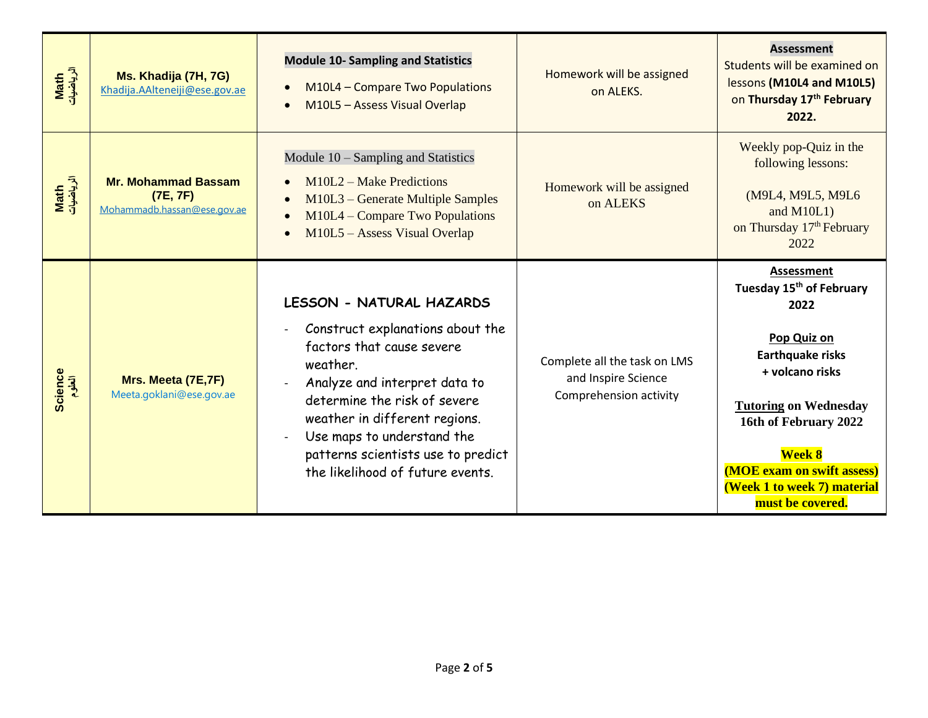| Math<br>الرياضيات | Ms. Khadija (7H, 7G)<br>Khadija.AAlteneiji@ese.gov.ae                 | <b>Module 10- Sampling and Statistics</b><br>M10L4 - Compare Two Populations<br>$\bullet$<br>M10L5 - Assess Visual Overlap<br>$\bullet$                                                                                                                                                                                                  | Homework will be assigned<br>on ALEKS.                                        | <b>Assessment</b><br>Students will be examined on<br>lessons (M10L4 and M10L5)<br>on Thursday 17th February<br>2022.                                                                                                                                                               |
|-------------------|-----------------------------------------------------------------------|------------------------------------------------------------------------------------------------------------------------------------------------------------------------------------------------------------------------------------------------------------------------------------------------------------------------------------------|-------------------------------------------------------------------------------|------------------------------------------------------------------------------------------------------------------------------------------------------------------------------------------------------------------------------------------------------------------------------------|
| Math<br>الرياضيات | <b>Mr. Mohammad Bassam</b><br>(7E, 7F)<br>Mohammadb.hassan@ese.gov.ae | Module $10$ – Sampling and Statistics<br>M10L2 - Make Predictions<br>M10L3 – Generate Multiple Samples<br>$\bullet$<br>M10L4 – Compare Two Populations<br>$\bullet$<br>M10L5 - Assess Visual Overlap                                                                                                                                     | Homework will be assigned<br>on ALEKS                                         | Weekly pop-Quiz in the<br>following lessons:<br>(M9L4, M9L5, M9L6<br>and $M10L1$ )<br>on Thursday 17 <sup>th</sup> February<br>2022                                                                                                                                                |
| Science<br>الطوم  | Mrs. Meeta (7E,7F)<br>Meeta.goklani@ese.gov.ae                        | <b>LESSON - NATURAL HAZARDS</b><br>Construct explanations about the<br>factors that cause severe<br>weather.<br>Analyze and interpret data to<br>$\overline{a}$<br>determine the risk of severe<br>weather in different regions.<br>Use maps to understand the<br>patterns scientists use to predict<br>the likelihood of future events. | Complete all the task on LMS<br>and Inspire Science<br>Comprehension activity | Assessment<br>Tuesday 15 <sup>th</sup> of February<br>2022<br>Pop Quiz on<br><b>Earthquake risks</b><br>+ volcano risks<br><b>Tutoring on Wednesday</b><br>16th of February 2022<br><b>Week 8</b><br>(MOE exam on swift assess)<br>(Week 1 to week 7) material<br>must be covered. |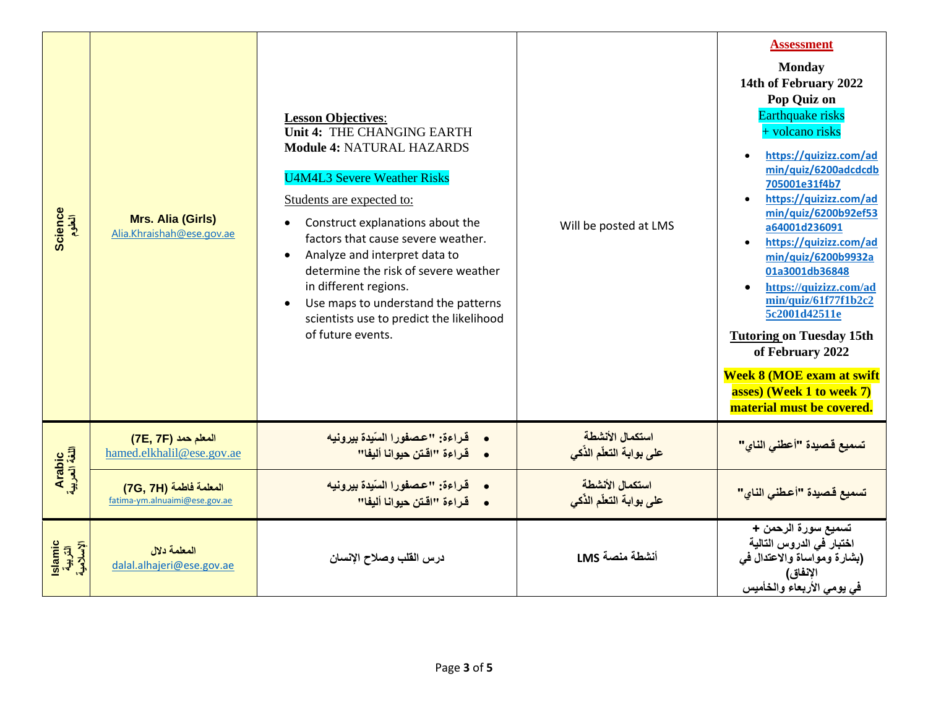| Science<br>العلوم              | <b>Mrs. Alia (Girls)</b><br>Alia.Khraishah@ese.gov.ae   | <b>Lesson Objectives:</b><br>Unit 4: THE CHANGING EARTH<br><b>Module 4: NATURAL HAZARDS</b><br><b>U4M4L3 Severe Weather Risks</b><br>Students are expected to:<br>Construct explanations about the<br>factors that cause severe weather.<br>Analyze and interpret data to<br>$\bullet$<br>determine the risk of severe weather<br>in different regions.<br>Use maps to understand the patterns<br>$\bullet$<br>scientists use to predict the likelihood<br>of future events. | Will be posted at LMS                       | <b>Assessment</b><br><b>Monday</b><br>14th of February 2022<br>Pop Quiz on<br>Earthquake risks<br>+ volcano risks<br>https://quizizz.com/ad<br>min/quiz/6200adcdcdb<br>705001e31f4b7<br>https://quizizz.com/ad<br>min/quiz/6200b92ef53<br>a64001d236091<br>https://quizizz.com/ad<br>min/quiz/6200b9932a<br>01a3001db36848<br>https://quizizz.com/ad<br>min/quiz/61f77f1b2c2<br>5c2001d42511e<br><b>Tutoring on Tuesday 15th</b><br>of February 2022<br><b>Week 8 (MOE exam at swift</b><br>asses) (Week 1 to week 7)<br>material must be covered. |
|--------------------------------|---------------------------------------------------------|------------------------------------------------------------------------------------------------------------------------------------------------------------------------------------------------------------------------------------------------------------------------------------------------------------------------------------------------------------------------------------------------------------------------------------------------------------------------------|---------------------------------------------|----------------------------------------------------------------------------------------------------------------------------------------------------------------------------------------------------------------------------------------------------------------------------------------------------------------------------------------------------------------------------------------------------------------------------------------------------------------------------------------------------------------------------------------------------|
|                                | المعلم حمد (7E, 7F)<br>hamed.elkhalil@ese.gov.ae        | قراءة: "عصفورا السّيدة بيرونيه<br>• قراءة "اقتن حيوانا أليفا"                                                                                                                                                                                                                                                                                                                                                                                                                | استكمال الأنشطة<br>على بوابة التعلّم الذّكي | تسميع قصيدة "أعطني الناي"                                                                                                                                                                                                                                                                                                                                                                                                                                                                                                                          |
| Arabic<br>اللغة العربية        | المعلمة فاطمة (7G, 7H)<br>fatima-ym.alnuaimi@ese.gov.ae | • قراءة: "عصفورا السّيدة بيرونيه<br>• فَراءة "اقتن حيوانا أليفا"                                                                                                                                                                                                                                                                                                                                                                                                             | استكمال الأنشطة<br>على بوابة التعلّم الذّكى | تسميع قصيدة "أعطني الناي"                                                                                                                                                                                                                                                                                                                                                                                                                                                                                                                          |
| slamic<br>التربية<br>الإسلامية | المعلمة دلال<br>dalal.alhajeri@ese.gov.ae               | درس القلب وصلاح الإنسان                                                                                                                                                                                                                                                                                                                                                                                                                                                      | أنشطة منصة LMS                              | تسميع سورة الرحمن +<br>اختبار في الدروس التالية<br>(بشارة ومواساة والاعتدال في<br>الإنفاق)<br>في يومي الأربعاء والخأميس                                                                                                                                                                                                                                                                                                                                                                                                                            |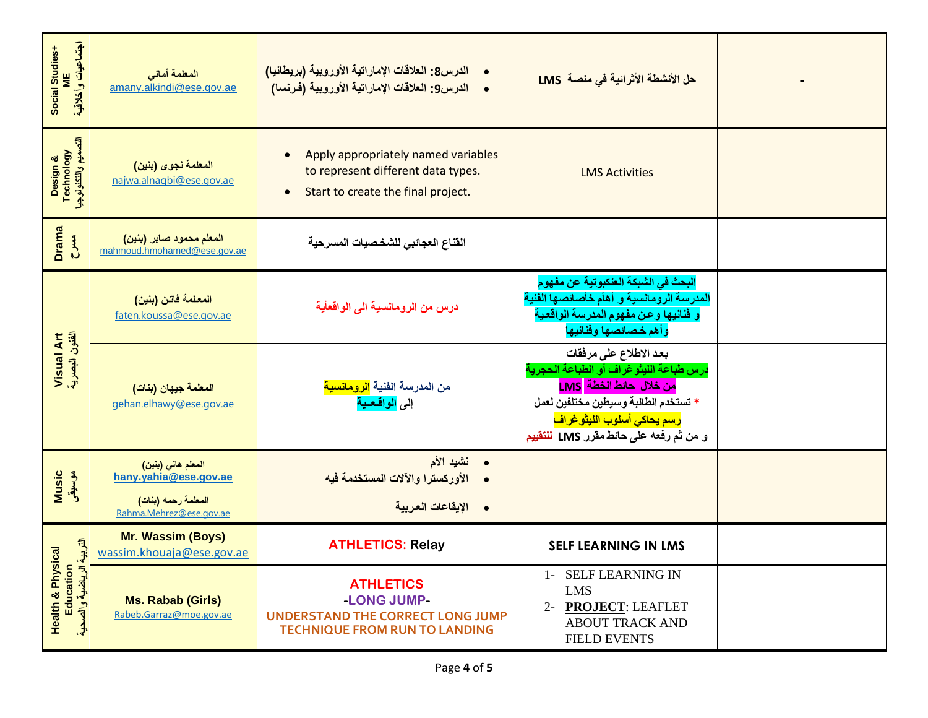| اجتماعيات وأخلاقية<br>Social Studies+<br>ME                              | المعلمة أمانى<br>amany.alkindi@ese.gov.ae               | الدرس8: العلاقات الإماراتية الأوروبية (بريطانيا)<br>$\bullet$<br>•     الدرس9: العلاقات الإماراتية الأوروبية (فرنسا)                      | حل الأنشطة الأثرائية في منصة  LMS                                                                                                                                                                                                      |  |
|--------------------------------------------------------------------------|---------------------------------------------------------|-------------------------------------------------------------------------------------------------------------------------------------------|----------------------------------------------------------------------------------------------------------------------------------------------------------------------------------------------------------------------------------------|--|
| Design &<br>Technology<br>انتصبیم وانتکنوٹوجیا                           | المعلمة نجوى (بنين)<br>najwa.alnaqbi@ese.gov.ae         | Apply appropriately named variables<br>$\bullet$<br>to represent different data types.<br>Start to create the final project.<br>$\bullet$ | <b>LMS Activities</b>                                                                                                                                                                                                                  |  |
| <b>Drama</b><br>$\sum_{i=1}^{n}$                                         | المعلم محمود صابر (بنين)<br>mahmoud.hmohamed@ese.gov.ae | القناع العجائبي للشخصيات المسرحية                                                                                                         |                                                                                                                                                                                                                                        |  |
|                                                                          | المعلمة فاتن (بنين)<br>faten.koussa@ese.gov.ae          | درس من الرومانسية الى الواقعأية                                                                                                           | البحث في الشبكة العنكبوتية عن مفهوم<br>المدرسة الرومانسية و أهأم خأصائصها الفنية<br>و فنانيها وعن مفهوم المدرسة الواقعية<br>وأهم خصائصها وفنانيها                                                                                      |  |
| Visual Art<br>الفئون البصرية                                             | المعلمة جيهان (بنات)<br>gehan.elhawy@ese.gov.ae         | من المدرسة الفنية <mark>الرومانسية</mark><br>إلى <mark>الواقعية</mark>                                                                    | بعد الاطلاع على مرفقات<br>درس طباعة الليثوغراف أو الطباعة الحجرية<br><mark>من خلال حائط الخطة LMS</mark><br>* تستخدم الطالبة وسيطين مختلفين لعمل<br><mark>رسم يحاكي أسلوب الليثو غراف</mark><br>و من ثم رفعه على حائط مقرر LMS للتقييم |  |
| Music<br>موسیقی                                                          | المعلم هاني (بنين)<br>hany.yahia@ese.gov.ae             | نشيد الأم<br>$\bullet$<br>الأوركسترا والآلات المستخدمة فيه                                                                                |                                                                                                                                                                                                                                        |  |
|                                                                          | المعلمة رحمه (بنات)<br>Rahma.Mehrez@ese.gov.ae          | الإيقاعات العربية<br>$\bullet$                                                                                                            |                                                                                                                                                                                                                                        |  |
| التربية                                                                  | <b>Mr. Wassim (Boys)</b><br>wassim.khouaja@ese.gov.ae   | <b>ATHLETICS: Relay</b>                                                                                                                   | <b>SELF LEARNING IN LMS</b>                                                                                                                                                                                                            |  |
| <b>Health &amp; Physical</b><br>Education<br>الرياضية واله<br>ءُ والصحية | <b>Ms. Rabab (Girls)</b><br>Rabeb.Garraz@moe.gov.ae     | <b>ATHLETICS</b><br>-LONG JUMP-<br><b>UNDERSTAND THE CORRECT LONG JUMP</b><br><b>TECHNIQUE FROM RUN TO LANDING</b>                        | 1- SELF LEARNING IN<br><b>LMS</b><br><b>PROJECT: LEAFLET</b><br>$2 -$<br><b>ABOUT TRACK AND</b><br><b>FIELD EVENTS</b>                                                                                                                 |  |